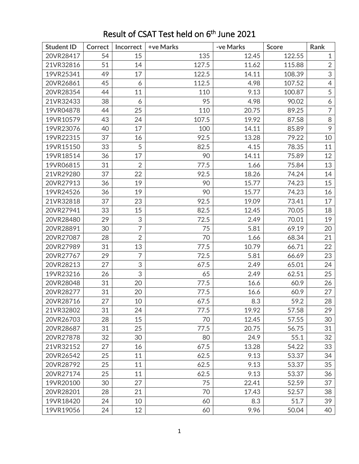| <b>Student ID</b> | <b>Correct</b> | <b>Incorrect</b> | +ve Marks | -ve Marks | <b>Score</b> | Rank           |
|-------------------|----------------|------------------|-----------|-----------|--------------|----------------|
| 20VR28417         | 54             | 15               | 135       | 12.45     | 122.55       | $\mathbf{1}$   |
| 21VR32816         | 51             | 14               | 127.5     | 11.62     | 115.88       | $\overline{2}$ |
| 19VR25341         | 49             | 17               | 122.5     | 14.11     | 108.39       | 3              |
| 20VR26861         | 45             | 6                | 112.5     | 4.98      | 107.52       | $\overline{4}$ |
| 20VR28354         | 44             | 11               | 110       | 9.13      | 100.87       | 5              |
| 21VR32433         | 38             | 6                | 95        | 4.98      | 90.02        | 6              |
| 19VR04878         | 44             | 25               | 110       | 20.75     | 89.25        | $\overline{7}$ |
| 19VR10579         | 43             | 24               | 107.5     | 19.92     | 87.58        | $\,8\,$        |
| 19VR23076         | 40             | 17               | 100       | 14.11     | 85.89        | 9              |
| 19VR22315         | 37             | 16               | 92.5      | 13.28     | 79.22        | 10             |
| 19VR15150         | 33             | 5                | 82.5      | 4.15      | 78.35        | 11             |
| 19VR18514         | 36             | 17               | 90        | 14.11     | 75.89        | 12             |
| 19VR06815         | 31             | $\overline{2}$   | 77.5      | 1.66      | 75.84        | 13             |
| 21VR29280         | 37             | 22               | 92.5      | 18.26     | 74.24        | 14             |
| 20VR27913         | 36             | 19               | 90        | 15.77     | 74.23        | 15             |
| 19VR24526         | 36             | 19               | 90        | 15.77     | 74.23        | 16             |
| 21VR32818         | 37             | 23               | 92.5      | 19.09     | 73.41        | 17             |
| 20VR27941         | 33             | 15               | 82.5      | 12.45     | 70.05        | 18             |
| 20VR28480         | 29             | $\mathfrak{S}$   | 72.5      | 2.49      | 70.01        | 19             |
| 20VR28891         | 30             | $\overline{7}$   | 75        | 5.81      | 69.19        | 20             |
| 20VR27087         | 28             | $\overline{2}$   | 70        | 1.66      | 68.34        | 21             |
| 20VR27989         | 31             | 13               | 77.5      | 10.79     | 66.71        | 22             |
| 20VR27767         | 29             | $\overline{7}$   | 72.5      | 5.81      | 66.69        | 23             |
| 20VR28213         | 27             | 3                | 67.5      | 2.49      | 65.01        | 24             |
| 19VR23216         | 26             | 3                | 65        | 2.49      | 62.51        | 25             |
| 20VR28048         | 31             | 20               | 77.5      | 16.6      | 60.9         | 26             |
| 20VR28277         | 31             | 20               | 77.5      | 16.6      | 60.9         | 27             |
| 20VR28716         | 27             | 10               | 67.5      | 8.3       | 59.2         | 28             |
| 21VR32802         | 31             | 24               | 77.5      | 19.92     | 57.58        | 29             |
| 20VR26703         | 28             | 15               | 70        | 12.45     | 57.55        | 30             |
| 20VR28687         | 31             | 25               | 77.5      | 20.75     | 56.75        | 31             |
| 20VR27878         | 32             | 30               | 80        | 24.9      | 55.1         | 32             |
| 21VR32152         | 27             | 16               | 67.5      | 13.28     | 54.22        | 33             |
| 20VR26542         | 25             | 11               | 62.5      | 9.13      | 53.37        | 34             |
| 20VR28792         | 25             | 11               | 62.5      | 9.13      | 53.37        | 35             |
| 20VR27174         | 25             | 11               | 62.5      | 9.13      | 53.37        | 36             |
| 19VR20100         | 30             | 27               | 75        | 22.41     | 52.59        | 37             |
| 20VR28201         | 28             | 21               | 70        | 17.43     | 52.57        | 38             |
| 19VR18420         | 24             | 10               | 60        | 8.3       | 51.7         | 39             |
| 19VR19056         | 24             | 12               | 60        | 9.96      | 50.04        | 40             |

## Result of CSAT Test held on 6<sup>th</sup> June 2021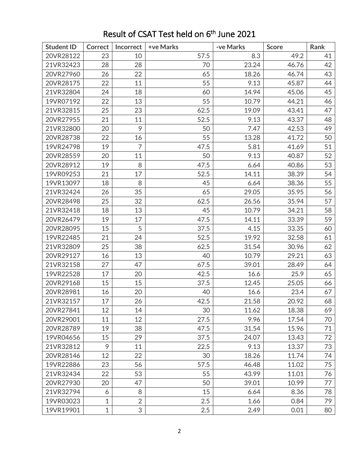| <b>Student ID</b> | <b>Correct</b> | Incorrect      | +ve Marks | -ve Marks | <b>Score</b> | Rank |
|-------------------|----------------|----------------|-----------|-----------|--------------|------|
| 20VR28122         | 23             | 10             | 57.5      | 8.3       | 49.2         | 41   |
| 21VR32423         | 28             | 28             | 70        | 23.24     | 46.76        | 42   |
| 20VR27960         | 26             | 22             | 65        | 18.26     | 46.74        | 43   |
| 20VR28175         | 22             | 11             | 55        | 9.13      | 45.87        | 44   |
| 21VR32804         | 24             | 18             | 60        | 14.94     | 45.06        | 45   |
| 19VR07192         | 22             | 13             | 55        | 10.79     | 44.21        | 46   |
| 21VR32815         | 25             | 23             | 62.5      | 19.09     | 43.41        | 47   |
| 20VR27955         | 21             | 11             | 52.5      | 9.13      | 43.37        | 48   |
| 21VR32800         | 20             | 9              | 50        | 7.47      | 42.53        | 49   |
| 20VR28738         | 22             | 16             | 55        | 13.28     | 41.72        | 50   |
| 19VR24798         | 19             | $\overline{7}$ | 47.5      | 5.81      | 41.69        | 51   |
| 20VR28559         | 20             | 11             | 50        | 9.13      | 40.87        | 52   |
| 20VR28912         | 19             | 8              | 47.5      | 6.64      | 40.86        | 53   |
| 19VR09253         | 21             | 17             | 52.5      | 14.11     | 38.39        | 54   |
| 19VR13097         | 18             | 8              | 45        | 6.64      | 38.36        | 55   |
| 21VR32424         | 26             | 35             | 65        | 29.05     | 35.95        | 56   |
| 20VR28498         | 25             | 32             | 62.5      | 26.56     | 35.94        | 57   |
| 21VR32418         | 18             | 13             | 45        | 10.79     | 34.21        | 58   |
| 20VR26479         | 19             | 17             | 47.5      | 14.11     | 33.39        | 59   |
| 20VR28095         | 15             | 5              | 37.5      | 4.15      | 33.35        | 60   |
| 19VR22485         | 21             | 24             | 52.5      | 19.92     | 32.58        | 61   |
| 21VR32809         | 25             | 38             | 62.5      | 31.54     | 30.96        | 62   |
| 20VR29127         | 16             | 13             | 40        | 10.79     | 29.21        | 63   |
| 21VR32158         | 27             | 47             | 67.5      | 39.01     | 28.49        | 64   |
| 19VR22528         | 17             | 20             | 42.5      | 16.6      | 25.9         | 65   |
| 20VR29168         | 15             | 15             | 37.5      | 12.45     | 25.05        | 66   |
| 20VR28981         | 16             | 20             | 40        | 16.6      | 23.4         | 67   |
| 21VR32157         | 17             | 26             | 42.5      | 21.58     | 20.92        | 68   |
| 20VR27841         | 12             | 14             | 30        | 11.62     | 18.38        | 69   |
| 20VR29001         | 11             | 12             | 27.5      | 9.96      | 17.54        | 70   |
| 20VR28789         | 19             | 38             | 47.5      | 31.54     | 15.96        | 71   |
| 19VR04656         | 15             | 29             | 37.5      | 24.07     | 13.43        | 72   |
| 21VR32812         | 9              | 11             | 22.5      | 9.13      | 13.37        | 73   |
| 20VR28146         | 12             | 22             | 30        | 18.26     | 11.74        | 74   |
| 19VR22886         | 23             | 56             | 57.5      | 46.48     | 11.02        | 75   |
| 21VR32434         | 22             | 53             | 55        | 43.99     | 11.01        | 76   |
| 20VR27930         | 20             | 47             | 50        | 39.01     | 10.99        | 77   |
| 21VR32794         | 6              | 8              | 15        | 6.64      | 8.36         | 78   |
| 19VR03023         | $\mathbf{1}$   | $\overline{2}$ | 2.5       | 1.66      | 0.84         | 79   |
| 19VR19901         | $\mathbf{1}$   | 3              | 2.5       | 2.49      | 0.01         | 80   |

## Result of CSAT Test held on 6<sup>th</sup> June 2021